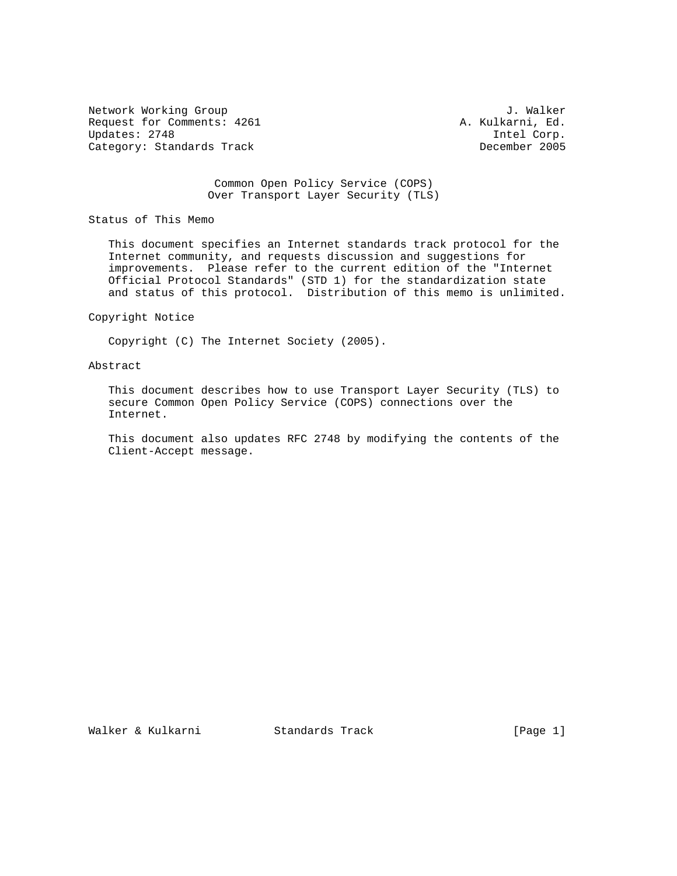Network Working Group J. Walker Request for Comments: 4261 <br>Updates: 2748 <br>The Lorp. Updates: 2748 Intel Corp. Category: Standards Track

## Common Open Policy Service (COPS) Over Transport Layer Security (TLS)

Status of This Memo

 This document specifies an Internet standards track protocol for the Internet community, and requests discussion and suggestions for improvements. Please refer to the current edition of the "Internet Official Protocol Standards" (STD 1) for the standardization state and status of this protocol. Distribution of this memo is unlimited.

#### Copyright Notice

Copyright (C) The Internet Society (2005).

### Abstract

 This document describes how to use Transport Layer Security (TLS) to secure Common Open Policy Service (COPS) connections over the Internet.

 This document also updates RFC 2748 by modifying the contents of the Client-Accept message.

Walker & Kulkarni Standards Track [Page 1]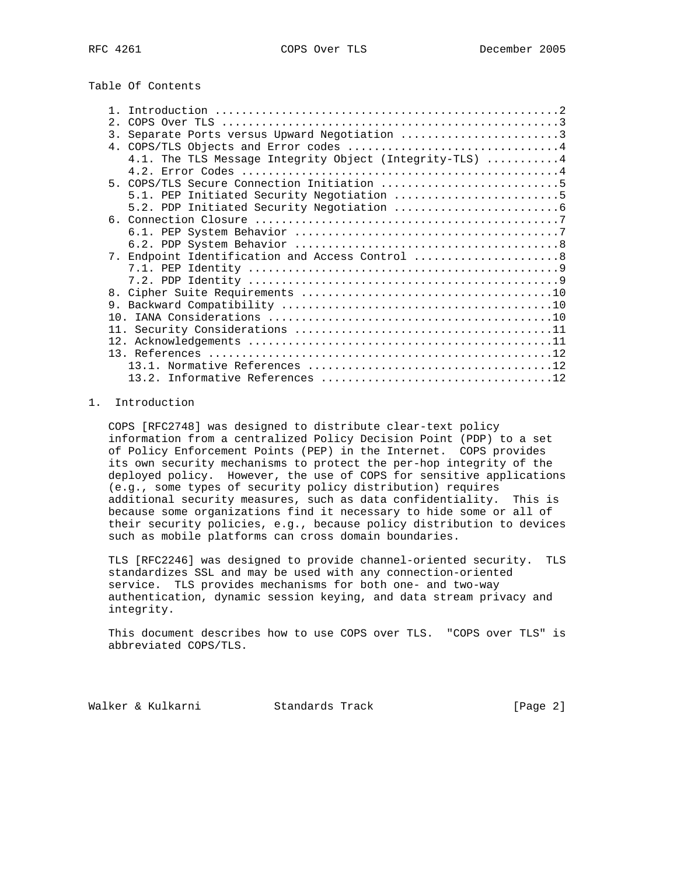# Table Of Contents

| 2.1                                                      |
|----------------------------------------------------------|
| Separate Ports versus Upward Negotiation 3<br>3.         |
|                                                          |
| 4.1. The TLS Message Integrity Object (Integrity-TLS)  4 |
|                                                          |
| 5. COPS/TLS Secure Connection Initiation 5               |
| 5.1. PEP Initiated Security Negotiation 5                |
|                                                          |
|                                                          |
|                                                          |
|                                                          |
| 7. Endpoint Identification and Access Control 8          |
|                                                          |
|                                                          |
|                                                          |
|                                                          |
|                                                          |
|                                                          |
|                                                          |
|                                                          |
|                                                          |
|                                                          |

# 1. Introduction

 COPS [RFC2748] was designed to distribute clear-text policy information from a centralized Policy Decision Point (PDP) to a set of Policy Enforcement Points (PEP) in the Internet. COPS provides its own security mechanisms to protect the per-hop integrity of the deployed policy. However, the use of COPS for sensitive applications (e.g., some types of security policy distribution) requires additional security measures, such as data confidentiality. This is because some organizations find it necessary to hide some or all of their security policies, e.g., because policy distribution to devices such as mobile platforms can cross domain boundaries.

 TLS [RFC2246] was designed to provide channel-oriented security. TLS standardizes SSL and may be used with any connection-oriented service. TLS provides mechanisms for both one- and two-way authentication, dynamic session keying, and data stream privacy and integrity.

 This document describes how to use COPS over TLS. "COPS over TLS" is abbreviated COPS/TLS.

Walker & Kulkarni Standards Track [Page 2]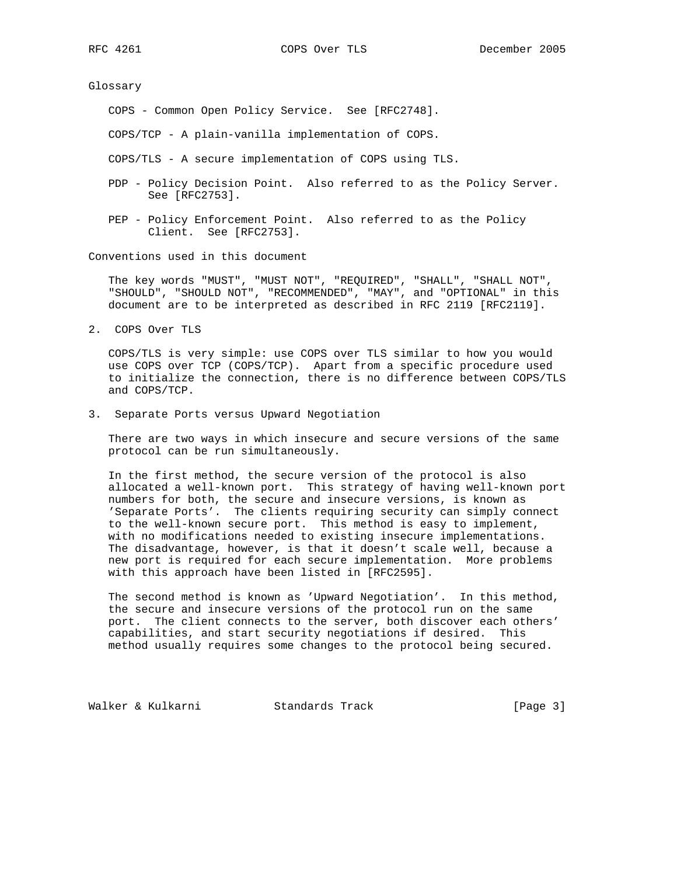Glossary

COPS - Common Open Policy Service. See [RFC2748].

COPS/TCP - A plain-vanilla implementation of COPS.

COPS/TLS - A secure implementation of COPS using TLS.

- PDP Policy Decision Point. Also referred to as the Policy Server. See [RFC2753].
- PEP Policy Enforcement Point. Also referred to as the Policy Client. See [RFC2753].

Conventions used in this document

 The key words "MUST", "MUST NOT", "REQUIRED", "SHALL", "SHALL NOT", "SHOULD", "SHOULD NOT", "RECOMMENDED", "MAY", and "OPTIONAL" in this document are to be interpreted as described in RFC 2119 [RFC2119].

2. COPS Over TLS

 COPS/TLS is very simple: use COPS over TLS similar to how you would use COPS over TCP (COPS/TCP). Apart from a specific procedure used to initialize the connection, there is no difference between COPS/TLS and COPS/TCP.

3. Separate Ports versus Upward Negotiation

 There are two ways in which insecure and secure versions of the same protocol can be run simultaneously.

 In the first method, the secure version of the protocol is also allocated a well-known port. This strategy of having well-known port numbers for both, the secure and insecure versions, is known as 'Separate Ports'. The clients requiring security can simply connect to the well-known secure port. This method is easy to implement, with no modifications needed to existing insecure implementations. The disadvantage, however, is that it doesn't scale well, because a new port is required for each secure implementation. More problems with this approach have been listed in [RFC2595].

 The second method is known as 'Upward Negotiation'. In this method, the secure and insecure versions of the protocol run on the same port. The client connects to the server, both discover each others' capabilities, and start security negotiations if desired. This method usually requires some changes to the protocol being secured.

Walker & Kulkarni Standards Track [Page 3]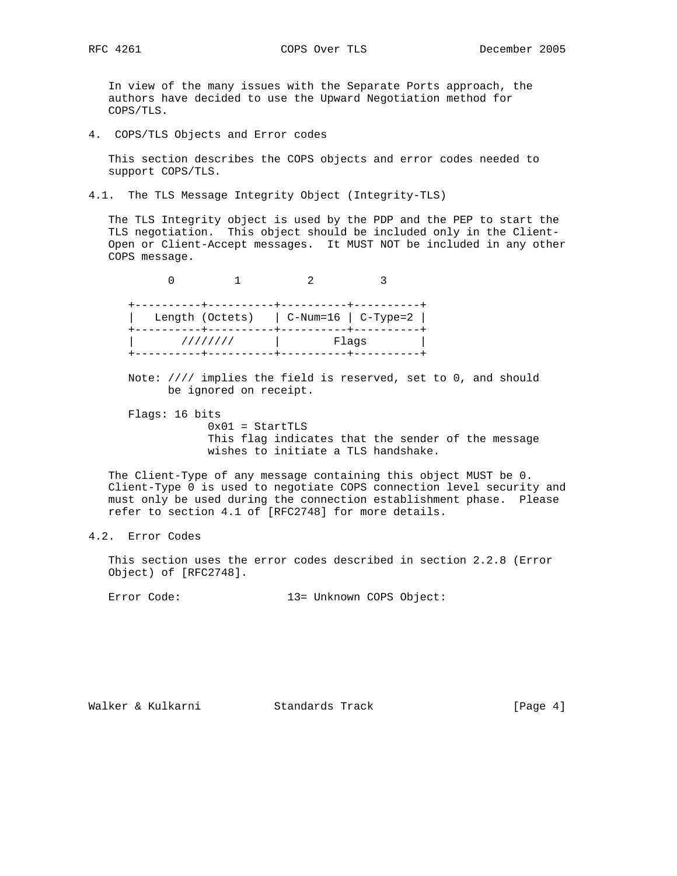In view of the many issues with the Separate Ports approach, the authors have decided to use the Upward Negotiation method for COPS/TLS.

4. COPS/TLS Objects and Error codes

 This section describes the COPS objects and error codes needed to support COPS/TLS.

4.1. The TLS Message Integrity Object (Integrity-TLS)

 The TLS Integrity object is used by the PDP and the PEP to start the TLS negotiation. This object should be included only in the Client- Open or Client-Accept messages. It MUST NOT be included in any other COPS message.

 0 1 2 3 +----------+----------+----------+----------+ | Length (Octets) | C-Num=16 | C-Type=2 | +----------+----------+----------+----------+ | //////// | Flags | +----------+----------+----------+----------+

 Note: //// implies the field is reserved, set to 0, and should be ignored on receipt.

 Flags: 16 bits  $0x01 =$  StartTLS This flag indicates that the sender of the message wishes to initiate a TLS handshake.

 The Client-Type of any message containing this object MUST be 0. Client-Type 0 is used to negotiate COPS connection level security and must only be used during the connection establishment phase. Please refer to section 4.1 of [RFC2748] for more details.

# 4.2. Error Codes

 This section uses the error codes described in section 2.2.8 (Error Object) of [RFC2748].

Error Code: 13= Unknown COPS Object:

Walker & Kulkarni Standards Track [Page 4]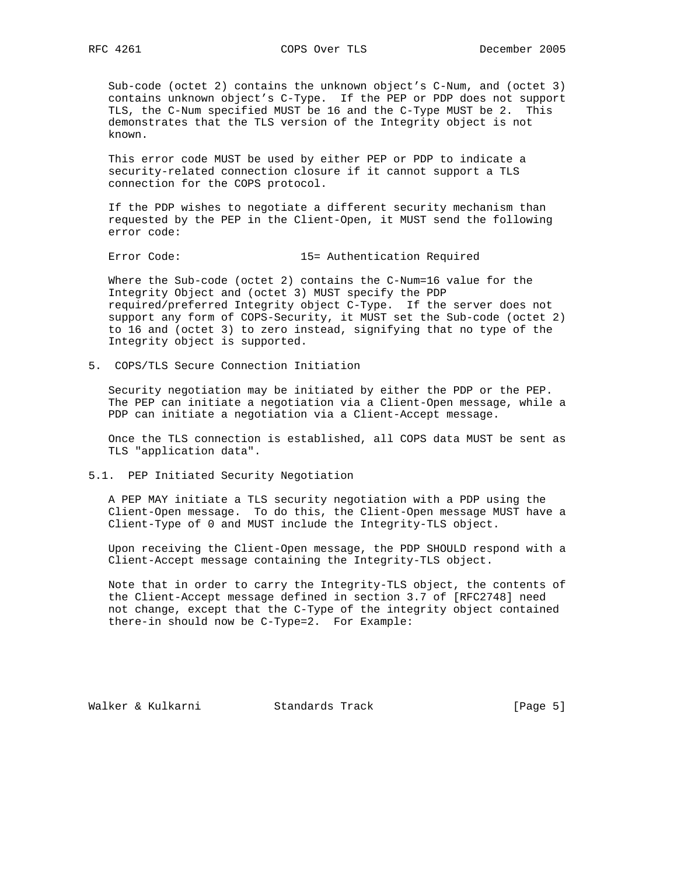Sub-code (octet 2) contains the unknown object's C-Num, and (octet 3) contains unknown object's C-Type. If the PEP or PDP does not support TLS, the C-Num specified MUST be 16 and the C-Type MUST be 2. This demonstrates that the TLS version of the Integrity object is not known.

 This error code MUST be used by either PEP or PDP to indicate a security-related connection closure if it cannot support a TLS connection for the COPS protocol.

 If the PDP wishes to negotiate a different security mechanism than requested by the PEP in the Client-Open, it MUST send the following error code:

Error Code: 15= Authentication Required

 Where the Sub-code (octet 2) contains the C-Num=16 value for the Integrity Object and (octet 3) MUST specify the PDP required/preferred Integrity object C-Type. If the server does not support any form of COPS-Security, it MUST set the Sub-code (octet 2) to 16 and (octet 3) to zero instead, signifying that no type of the Integrity object is supported.

5. COPS/TLS Secure Connection Initiation

 Security negotiation may be initiated by either the PDP or the PEP. The PEP can initiate a negotiation via a Client-Open message, while a PDP can initiate a negotiation via a Client-Accept message.

 Once the TLS connection is established, all COPS data MUST be sent as TLS "application data".

5.1. PEP Initiated Security Negotiation

 A PEP MAY initiate a TLS security negotiation with a PDP using the Client-Open message. To do this, the Client-Open message MUST have a Client-Type of 0 and MUST include the Integrity-TLS object.

 Upon receiving the Client-Open message, the PDP SHOULD respond with a Client-Accept message containing the Integrity-TLS object.

 Note that in order to carry the Integrity-TLS object, the contents of the Client-Accept message defined in section 3.7 of [RFC2748] need not change, except that the C-Type of the integrity object contained there-in should now be C-Type=2. For Example:

Walker & Kulkarni Standards Track [Page 5]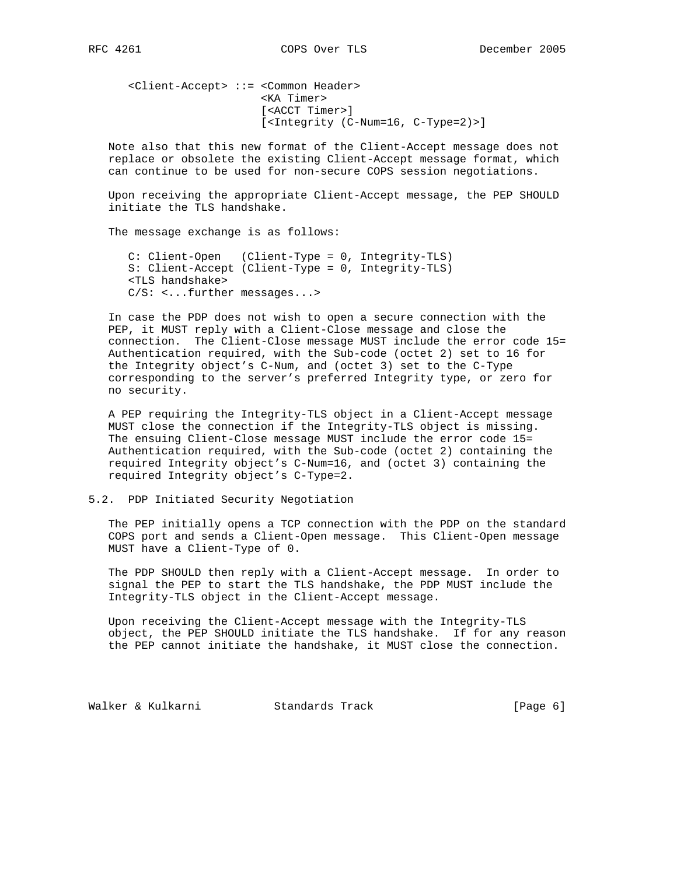<Client-Accept> ::= <Common Header> <KA Timer> [<ACCT Timer>] [<Integrity (C-Num=16, C-Type=2)>]

 Note also that this new format of the Client-Accept message does not replace or obsolete the existing Client-Accept message format, which can continue to be used for non-secure COPS session negotiations.

 Upon receiving the appropriate Client-Accept message, the PEP SHOULD initiate the TLS handshake.

The message exchange is as follows:

 C: Client-Open (Client-Type = 0, Integrity-TLS) S: Client-Accept (Client-Type = 0, Integrity-TLS) <TLS handshake> C/S: <...further messages...>

 In case the PDP does not wish to open a secure connection with the PEP, it MUST reply with a Client-Close message and close the connection. The Client-Close message MUST include the error code 15= Authentication required, with the Sub-code (octet 2) set to 16 for the Integrity object's C-Num, and (octet 3) set to the C-Type corresponding to the server's preferred Integrity type, or zero for no security.

 A PEP requiring the Integrity-TLS object in a Client-Accept message MUST close the connection if the Integrity-TLS object is missing. The ensuing Client-Close message MUST include the error code 15= Authentication required, with the Sub-code (octet 2) containing the required Integrity object's C-Num=16, and (octet 3) containing the required Integrity object's C-Type=2.

## 5.2. PDP Initiated Security Negotiation

 The PEP initially opens a TCP connection with the PDP on the standard COPS port and sends a Client-Open message. This Client-Open message MUST have a Client-Type of 0.

 The PDP SHOULD then reply with a Client-Accept message. In order to signal the PEP to start the TLS handshake, the PDP MUST include the Integrity-TLS object in the Client-Accept message.

 Upon receiving the Client-Accept message with the Integrity-TLS object, the PEP SHOULD initiate the TLS handshake. If for any reason the PEP cannot initiate the handshake, it MUST close the connection.

Walker & Kulkarni Standards Track [Page 6]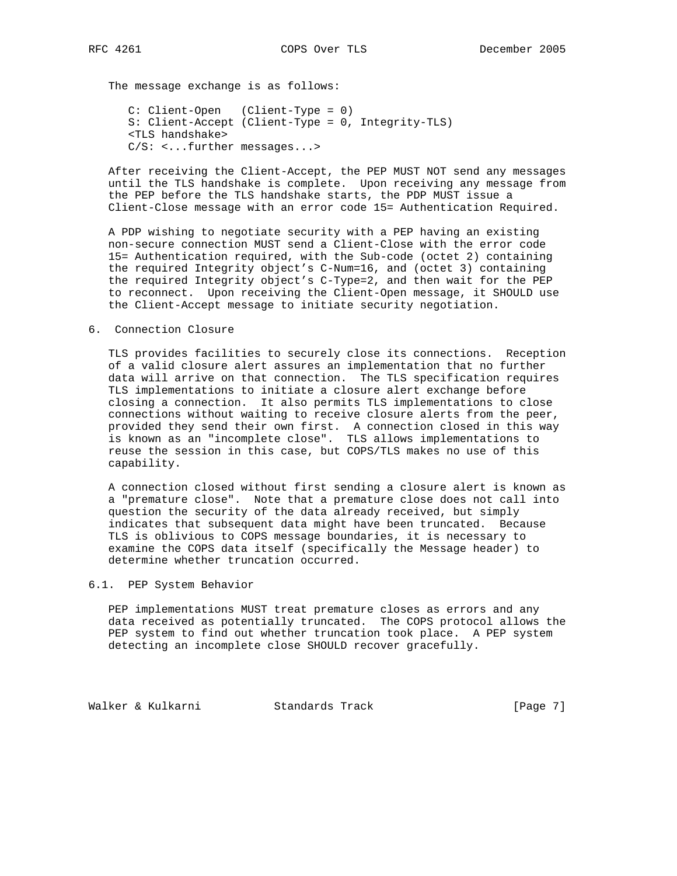The message exchange is as follows:

 C: Client-Open (Client-Type = 0) S: Client-Accept (Client-Type = 0, Integrity-TLS) <TLS handshake> C/S: <...further messages...>

 After receiving the Client-Accept, the PEP MUST NOT send any messages until the TLS handshake is complete. Upon receiving any message from the PEP before the TLS handshake starts, the PDP MUST issue a Client-Close message with an error code 15= Authentication Required.

 A PDP wishing to negotiate security with a PEP having an existing non-secure connection MUST send a Client-Close with the error code 15= Authentication required, with the Sub-code (octet 2) containing the required Integrity object's C-Num=16, and (octet 3) containing the required Integrity object's C-Type=2, and then wait for the PEP to reconnect. Upon receiving the Client-Open message, it SHOULD use the Client-Accept message to initiate security negotiation.

#### 6. Connection Closure

 TLS provides facilities to securely close its connections. Reception of a valid closure alert assures an implementation that no further data will arrive on that connection. The TLS specification requires TLS implementations to initiate a closure alert exchange before closing a connection. It also permits TLS implementations to close connections without waiting to receive closure alerts from the peer, provided they send their own first. A connection closed in this way is known as an "incomplete close". TLS allows implementations to reuse the session in this case, but COPS/TLS makes no use of this capability.

 A connection closed without first sending a closure alert is known as a "premature close". Note that a premature close does not call into question the security of the data already received, but simply indicates that subsequent data might have been truncated. Because TLS is oblivious to COPS message boundaries, it is necessary to examine the COPS data itself (specifically the Message header) to determine whether truncation occurred.

## 6.1. PEP System Behavior

 PEP implementations MUST treat premature closes as errors and any data received as potentially truncated. The COPS protocol allows the PEP system to find out whether truncation took place. A PEP system detecting an incomplete close SHOULD recover gracefully.

Walker & Kulkarni Standards Track [Page 7]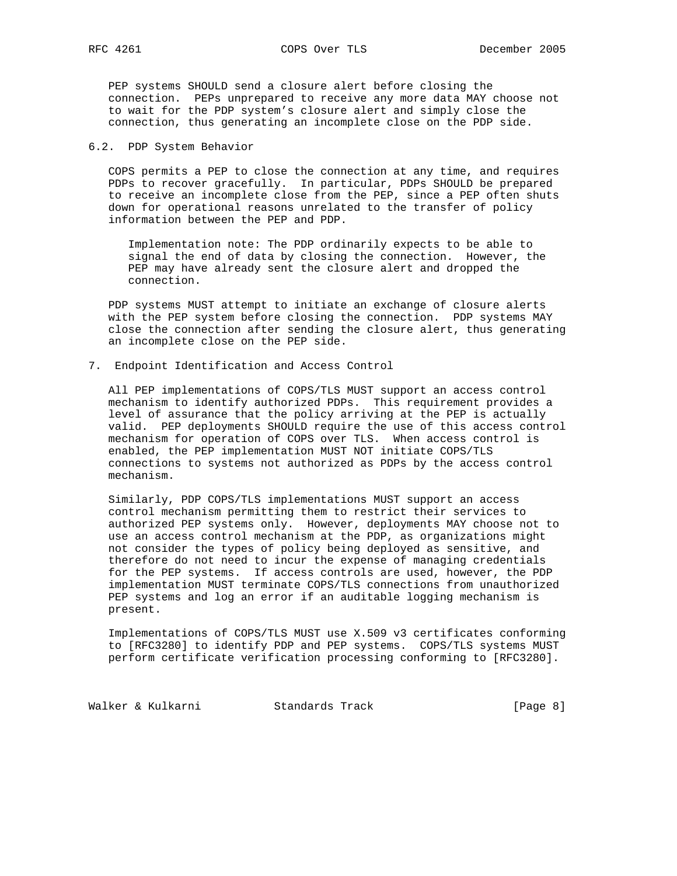PEP systems SHOULD send a closure alert before closing the connection. PEPs unprepared to receive any more data MAY choose not to wait for the PDP system's closure alert and simply close the connection, thus generating an incomplete close on the PDP side.

#### 6.2. PDP System Behavior

 COPS permits a PEP to close the connection at any time, and requires PDPs to recover gracefully. In particular, PDPs SHOULD be prepared to receive an incomplete close from the PEP, since a PEP often shuts down for operational reasons unrelated to the transfer of policy information between the PEP and PDP.

 Implementation note: The PDP ordinarily expects to be able to signal the end of data by closing the connection. However, the PEP may have already sent the closure alert and dropped the connection.

 PDP systems MUST attempt to initiate an exchange of closure alerts with the PEP system before closing the connection. PDP systems MAY close the connection after sending the closure alert, thus generating an incomplete close on the PEP side.

7. Endpoint Identification and Access Control

 All PEP implementations of COPS/TLS MUST support an access control mechanism to identify authorized PDPs. This requirement provides a level of assurance that the policy arriving at the PEP is actually valid. PEP deployments SHOULD require the use of this access control mechanism for operation of COPS over TLS. When access control is enabled, the PEP implementation MUST NOT initiate COPS/TLS connections to systems not authorized as PDPs by the access control mechanism.

 Similarly, PDP COPS/TLS implementations MUST support an access control mechanism permitting them to restrict their services to authorized PEP systems only. However, deployments MAY choose not to use an access control mechanism at the PDP, as organizations might not consider the types of policy being deployed as sensitive, and therefore do not need to incur the expense of managing credentials for the PEP systems. If access controls are used, however, the PDP implementation MUST terminate COPS/TLS connections from unauthorized PEP systems and log an error if an auditable logging mechanism is present.

 Implementations of COPS/TLS MUST use X.509 v3 certificates conforming to [RFC3280] to identify PDP and PEP systems. COPS/TLS systems MUST perform certificate verification processing conforming to [RFC3280].

Walker & Kulkarni Standards Track [Page 8]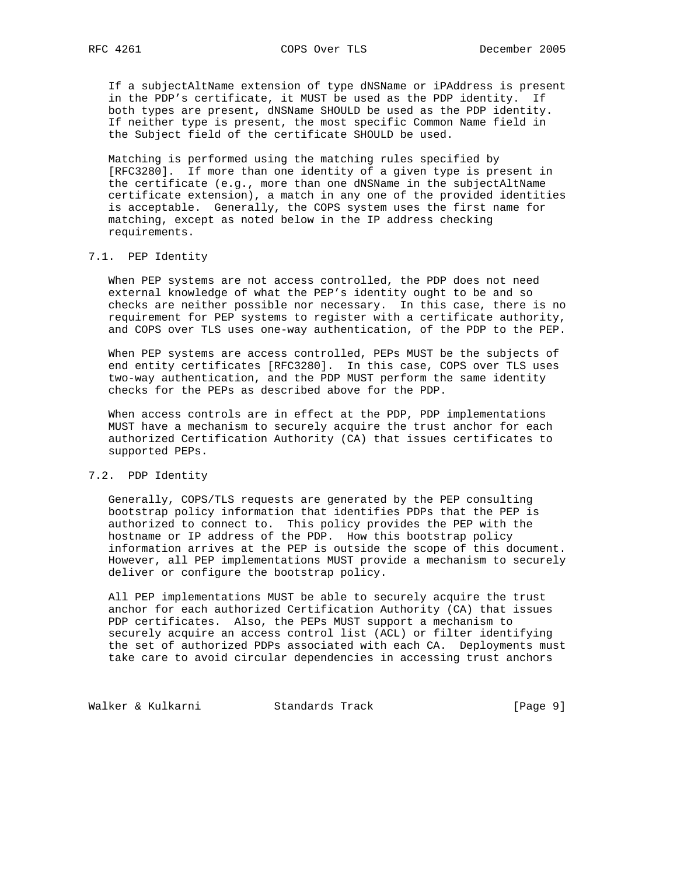If a subjectAltName extension of type dNSName or iPAddress is present in the PDP's certificate, it MUST be used as the PDP identity. If both types are present, dNSName SHOULD be used as the PDP identity. If neither type is present, the most specific Common Name field in the Subject field of the certificate SHOULD be used.

 Matching is performed using the matching rules specified by [RFC3280]. If more than one identity of a given type is present in the certificate (e.g., more than one dNSName in the subjectAltName certificate extension), a match in any one of the provided identities is acceptable. Generally, the COPS system uses the first name for matching, except as noted below in the IP address checking requirements.

# 7.1. PEP Identity

 When PEP systems are not access controlled, the PDP does not need external knowledge of what the PEP's identity ought to be and so checks are neither possible nor necessary. In this case, there is no requirement for PEP systems to register with a certificate authority, and COPS over TLS uses one-way authentication, of the PDP to the PEP.

 When PEP systems are access controlled, PEPs MUST be the subjects of end entity certificates [RFC3280]. In this case, COPS over TLS uses two-way authentication, and the PDP MUST perform the same identity checks for the PEPs as described above for the PDP.

 When access controls are in effect at the PDP, PDP implementations MUST have a mechanism to securely acquire the trust anchor for each authorized Certification Authority (CA) that issues certificates to supported PEPs.

### 7.2. PDP Identity

 Generally, COPS/TLS requests are generated by the PEP consulting bootstrap policy information that identifies PDPs that the PEP is authorized to connect to. This policy provides the PEP with the hostname or IP address of the PDP. How this bootstrap policy information arrives at the PEP is outside the scope of this document. However, all PEP implementations MUST provide a mechanism to securely deliver or configure the bootstrap policy.

 All PEP implementations MUST be able to securely acquire the trust anchor for each authorized Certification Authority (CA) that issues PDP certificates. Also, the PEPs MUST support a mechanism to securely acquire an access control list (ACL) or filter identifying the set of authorized PDPs associated with each CA. Deployments must take care to avoid circular dependencies in accessing trust anchors

Walker & Kulkarni Standards Track [Page 9]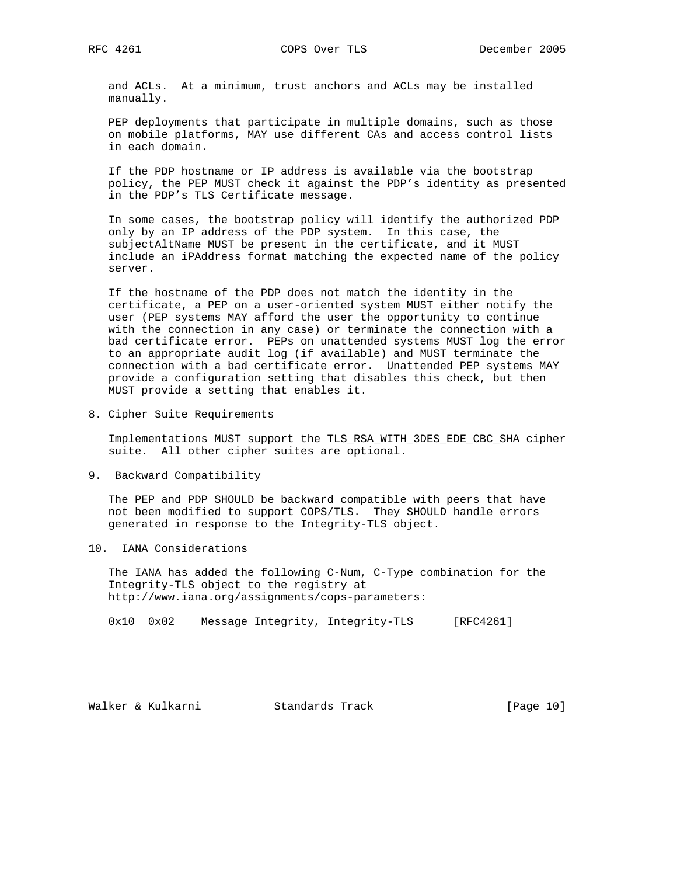and ACLs. At a minimum, trust anchors and ACLs may be installed manually.

PEP deployments that participate in multiple domains, such as those on mobile platforms, MAY use different CAs and access control lists in each domain.

 If the PDP hostname or IP address is available via the bootstrap policy, the PEP MUST check it against the PDP's identity as presented in the PDP's TLS Certificate message.

 In some cases, the bootstrap policy will identify the authorized PDP only by an IP address of the PDP system. In this case, the subjectAltName MUST be present in the certificate, and it MUST include an iPAddress format matching the expected name of the policy server.

 If the hostname of the PDP does not match the identity in the certificate, a PEP on a user-oriented system MUST either notify the user (PEP systems MAY afford the user the opportunity to continue with the connection in any case) or terminate the connection with a bad certificate error. PEPs on unattended systems MUST log the error to an appropriate audit log (if available) and MUST terminate the connection with a bad certificate error. Unattended PEP systems MAY provide a configuration setting that disables this check, but then MUST provide a setting that enables it.

8. Cipher Suite Requirements

 Implementations MUST support the TLS\_RSA\_WITH\_3DES\_EDE\_CBC\_SHA cipher suite. All other cipher suites are optional.

9. Backward Compatibility

 The PEP and PDP SHOULD be backward compatible with peers that have not been modified to support COPS/TLS. They SHOULD handle errors generated in response to the Integrity-TLS object.

10. IANA Considerations

 The IANA has added the following C-Num, C-Type combination for the Integrity-TLS object to the registry at http://www.iana.org/assignments/cops-parameters:

0x10 0x02 Message Integrity, Integrity-TLS [RFC4261]

Walker & Kulkarni Standards Track [Page 10]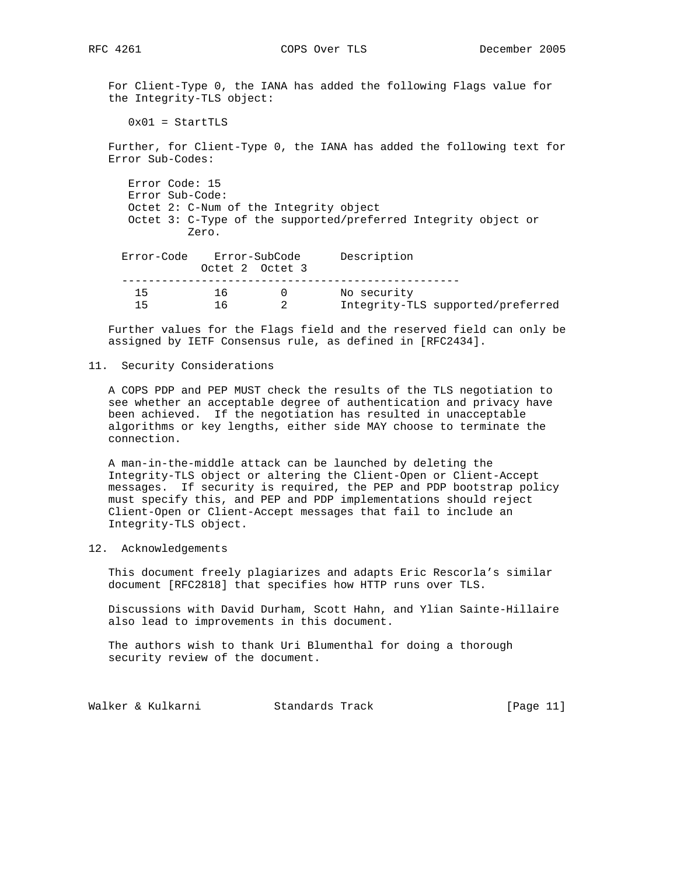For Client-Type 0, the IANA has added the following Flags value for the Integrity-TLS object:

 $0x01 =$  StartTLS

 Further, for Client-Type 0, the IANA has added the following text for Error Sub-Codes:

 Error Code: 15 Error Sub-Code: Octet 2: C-Num of the Integrity object Octet 3: C-Type of the supported/preferred Integrity object or Zero.

| Description                       |             | Error-SubCode   |     | Error-Code |  |
|-----------------------------------|-------------|-----------------|-----|------------|--|
|                                   |             | Octet 2 Octet 3 |     |            |  |
|                                   |             |                 |     |            |  |
|                                   | No security |                 | 16. | 15         |  |
| Integrity-TLS supported/preferred |             |                 |     | 15         |  |

 Further values for the Flags field and the reserved field can only be assigned by IETF Consensus rule, as defined in [RFC2434].

#### 11. Security Considerations

 A COPS PDP and PEP MUST check the results of the TLS negotiation to see whether an acceptable degree of authentication and privacy have been achieved. If the negotiation has resulted in unacceptable algorithms or key lengths, either side MAY choose to terminate the connection.

 A man-in-the-middle attack can be launched by deleting the Integrity-TLS object or altering the Client-Open or Client-Accept messages. If security is required, the PEP and PDP bootstrap policy must specify this, and PEP and PDP implementations should reject Client-Open or Client-Accept messages that fail to include an Integrity-TLS object.

## 12. Acknowledgements

 This document freely plagiarizes and adapts Eric Rescorla's similar document [RFC2818] that specifies how HTTP runs over TLS.

 Discussions with David Durham, Scott Hahn, and Ylian Sainte-Hillaire also lead to improvements in this document.

 The authors wish to thank Uri Blumenthal for doing a thorough security review of the document.

Walker & Kulkarni Standards Track [Page 11]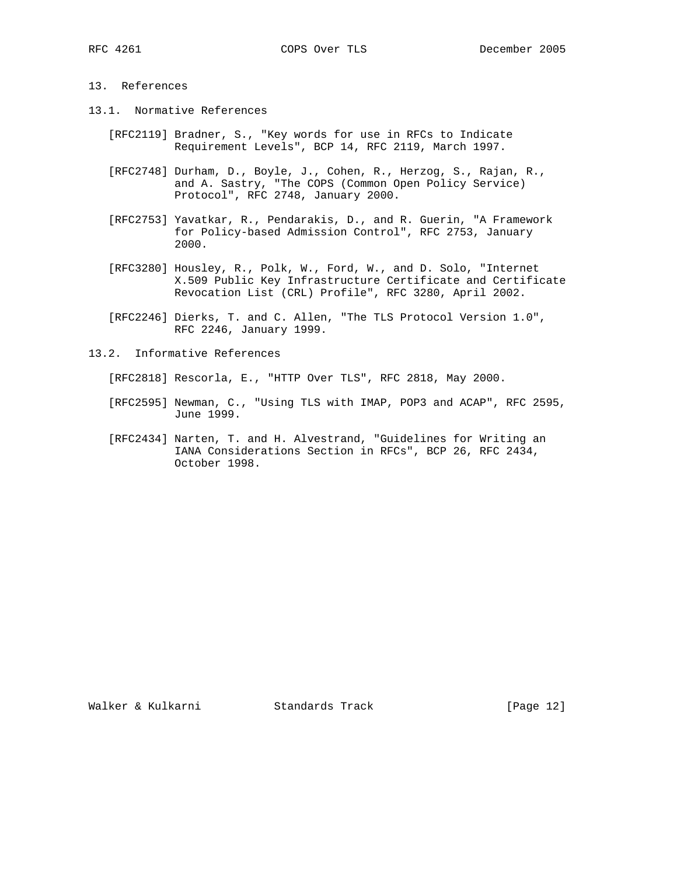# 13. References

- 13.1. Normative References
	- [RFC2119] Bradner, S., "Key words for use in RFCs to Indicate Requirement Levels", BCP 14, RFC 2119, March 1997.
	- [RFC2748] Durham, D., Boyle, J., Cohen, R., Herzog, S., Rajan, R., and A. Sastry, "The COPS (Common Open Policy Service) Protocol", RFC 2748, January 2000.
	- [RFC2753] Yavatkar, R., Pendarakis, D., and R. Guerin, "A Framework for Policy-based Admission Control", RFC 2753, January 2000.
	- [RFC3280] Housley, R., Polk, W., Ford, W., and D. Solo, "Internet X.509 Public Key Infrastructure Certificate and Certificate Revocation List (CRL) Profile", RFC 3280, April 2002.
	- [RFC2246] Dierks, T. and C. Allen, "The TLS Protocol Version 1.0", RFC 2246, January 1999.

13.2. Informative References

- [RFC2818] Rescorla, E., "HTTP Over TLS", RFC 2818, May 2000.
- [RFC2595] Newman, C., "Using TLS with IMAP, POP3 and ACAP", RFC 2595, June 1999.
- [RFC2434] Narten, T. and H. Alvestrand, "Guidelines for Writing an IANA Considerations Section in RFCs", BCP 26, RFC 2434, October 1998.

Walker & Kulkarni Standards Track [Page 12]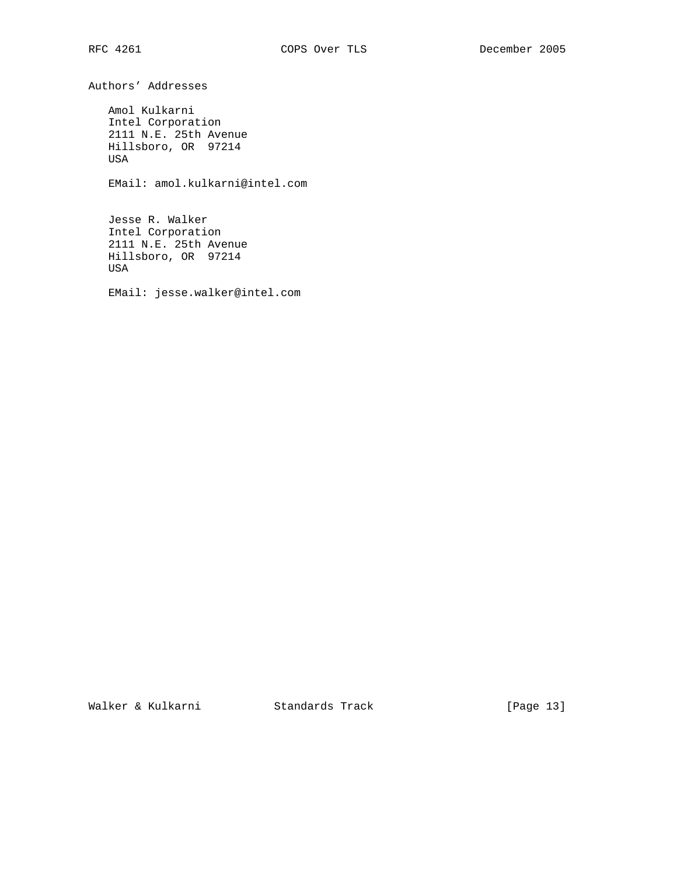Authors' Addresses

 Amol Kulkarni Intel Corporation 2111 N.E. 25th Avenue Hillsboro, OR 97214 USA

EMail: amol.kulkarni@intel.com

 Jesse R. Walker Intel Corporation 2111 N.E. 25th Avenue Hillsboro, OR 97214 USA

EMail: jesse.walker@intel.com